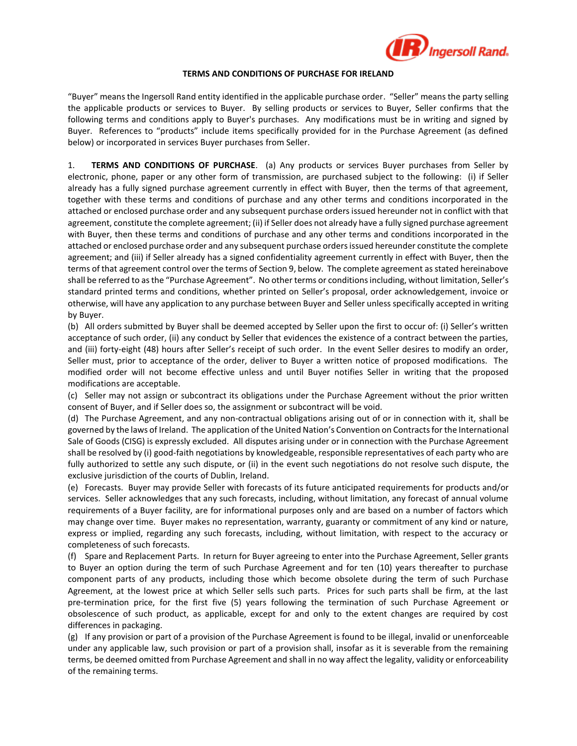

## **TERMS AND CONDITIONS OF PURCHASE FOR IRELAND**

"Buyer" means the Ingersoll Rand entity identified in the applicable purchase order. "Seller" means the party selling the applicable products or services to Buyer. By selling products or services to Buyer, Seller confirms that the following terms and conditions apply to Buyer's purchases. Any modifications must be in writing and signed by Buyer. References to "products" include items specifically provided for in the Purchase Agreement (as defined below) or incorporated in services Buyer purchases from Seller.

1. **TERMS AND CONDITIONS OF PURCHASE**. (a) Any products or services Buyer purchases from Seller by electronic, phone, paper or any other form of transmission, are purchased subject to the following: (i) if Seller already has a fully signed purchase agreement currently in effect with Buyer, then the terms of that agreement, together with these terms and conditions of purchase and any other terms and conditions incorporated in the attached or enclosed purchase order and any subsequent purchase orders issued hereunder not in conflict with that agreement, constitute the complete agreement; (ii) if Seller does not already have a fully signed purchase agreement with Buyer, then these terms and conditions of purchase and any other terms and conditions incorporated in the attached or enclosed purchase order and any subsequent purchase orders issued hereunder constitute the complete agreement; and (iii) if Seller already has a signed confidentiality agreement currently in effect with Buyer, then the terms of that agreement control over the terms of Section 9, below. The complete agreement as stated hereinabove shall be referred to as the "Purchase Agreement". No other terms or conditions including, without limitation, Seller's standard printed terms and conditions, whether printed on Seller's proposal, order acknowledgement, invoice or otherwise, will have any application to any purchase between Buyer and Seller unless specifically accepted in writing by Buyer.

(b) All orders submitted by Buyer shall be deemed accepted by Seller upon the first to occur of: (i) Seller's written acceptance of such order, (ii) any conduct by Seller that evidences the existence of a contract between the parties, and (iii) forty-eight (48) hours after Seller's receipt of such order. In the event Seller desires to modify an order, Seller must, prior to acceptance of the order, deliver to Buyer a written notice of proposed modifications. The modified order will not become effective unless and until Buyer notifies Seller in writing that the proposed modifications are acceptable.

(c) Seller may not assign or subcontract its obligations under the Purchase Agreement without the prior written consent of Buyer, and if Seller does so, the assignment or subcontract will be void.

(d) The Purchase Agreement, and any non-contractual obligations arising out of or in connection with it, shall be governed by the laws of Ireland. The application of the United Nation's Convention on Contracts for the International Sale of Goods (CISG) is expressly excluded. All disputes arising under or in connection with the Purchase Agreement shall be resolved by (i) good-faith negotiations by knowledgeable, responsible representatives of each party who are fully authorized to settle any such dispute, or (ii) in the event such negotiations do not resolve such dispute, the exclusive jurisdiction of the courts of Dublin, Ireland.

(e) Forecasts. Buyer may provide Seller with forecasts of its future anticipated requirements for products and/or services. Seller acknowledges that any such forecasts, including, without limitation, any forecast of annual volume requirements of a Buyer facility, are for informational purposes only and are based on a number of factors which may change over time. Buyer makes no representation, warranty, guaranty or commitment of any kind or nature, express or implied, regarding any such forecasts, including, without limitation, with respect to the accuracy or completeness of such forecasts.

(f) Spare and Replacement Parts. In return for Buyer agreeing to enter into the Purchase Agreement, Seller grants to Buyer an option during the term of such Purchase Agreement and for ten (10) years thereafter to purchase component parts of any products, including those which become obsolete during the term of such Purchase Agreement, at the lowest price at which Seller sells such parts. Prices for such parts shall be firm, at the last pre-termination price, for the first five (5) years following the termination of such Purchase Agreement or obsolescence of such product, as applicable, except for and only to the extent changes are required by cost differences in packaging.

(g) If any provision or part of a provision of the Purchase Agreement is found to be illegal, invalid or unenforceable under any applicable law, such provision or part of a provision shall, insofar as it is severable from the remaining terms, be deemed omitted from Purchase Agreement and shall in no way affect the legality, validity or enforceability of the remaining terms.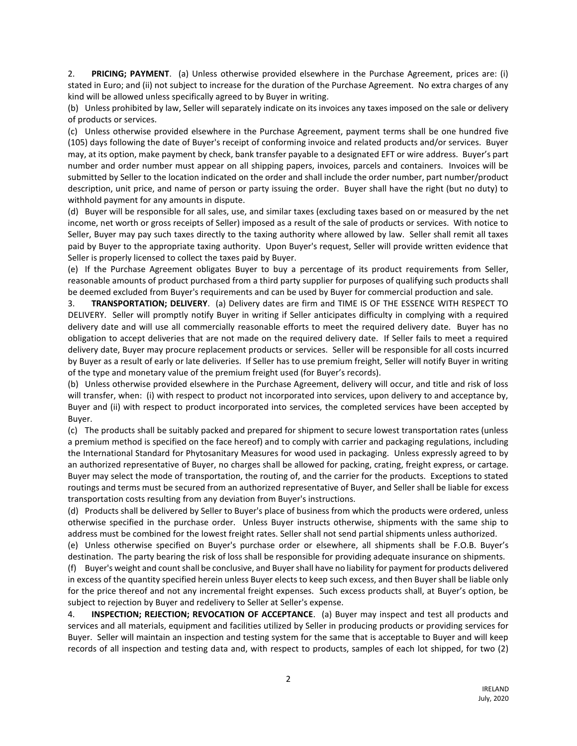2. **PRICING; PAYMENT**. (a) Unless otherwise provided elsewhere in the Purchase Agreement, prices are: (i) stated in Euro; and (ii) not subject to increase for the duration of the Purchase Agreement. No extra charges of any kind will be allowed unless specifically agreed to by Buyer in writing.

(b) Unless prohibited by law, Seller will separately indicate on its invoices any taxes imposed on the sale or delivery of products or services.

(c) Unless otherwise provided elsewhere in the Purchase Agreement, payment terms shall be one hundred five (105) days following the date of Buyer's receipt of conforming invoice and related products and/or services. Buyer may, at its option, make payment by check, bank transfer payable to a designated EFT or wire address. Buyer's part number and order number must appear on all shipping papers, invoices, parcels and containers. Invoices will be submitted by Seller to the location indicated on the order and shall include the order number, part number/product description, unit price, and name of person or party issuing the order. Buyer shall have the right (but no duty) to withhold payment for any amounts in dispute.

(d) Buyer will be responsible for all sales, use, and similar taxes (excluding taxes based on or measured by the net income, net worth or gross receipts of Seller) imposed as a result of the sale of products or services. With notice to Seller, Buyer may pay such taxes directly to the taxing authority where allowed by law. Seller shall remit all taxes paid by Buyer to the appropriate taxing authority. Upon Buyer's request, Seller will provide written evidence that Seller is properly licensed to collect the taxes paid by Buyer.

(e) If the Purchase Agreement obligates Buyer to buy a percentage of its product requirements from Seller, reasonable amounts of product purchased from a third party supplier for purposes of qualifying such products shall be deemed excluded from Buyer's requirements and can be used by Buyer for commercial production and sale.

3. **TRANSPORTATION; DELIVERY**. (a) Delivery dates are firm and TIME IS OF THE ESSENCE WITH RESPECT TO DELIVERY. Seller will promptly notify Buyer in writing if Seller anticipates difficulty in complying with a required delivery date and will use all commercially reasonable efforts to meet the required delivery date. Buyer has no obligation to accept deliveries that are not made on the required delivery date. If Seller fails to meet a required delivery date, Buyer may procure replacement products or services. Seller will be responsible for all costs incurred by Buyer as a result of early or late deliveries. If Seller has to use premium freight, Seller will notify Buyer in writing of the type and monetary value of the premium freight used (for Buyer's records).

(b) Unless otherwise provided elsewhere in the Purchase Agreement, delivery will occur, and title and risk of loss will transfer, when: (i) with respect to product not incorporated into services, upon delivery to and acceptance by, Buyer and (ii) with respect to product incorporated into services, the completed services have been accepted by Buyer.

(c) The products shall be suitably packed and prepared for shipment to secure lowest transportation rates (unless a premium method is specified on the face hereof) and to comply with carrier and packaging regulations, including the International Standard for Phytosanitary Measures for wood used in packaging. Unless expressly agreed to by an authorized representative of Buyer, no charges shall be allowed for packing, crating, freight express, or cartage. Buyer may select the mode of transportation, the routing of, and the carrier for the products. Exceptions to stated routings and terms must be secured from an authorized representative of Buyer, and Seller shall be liable for excess transportation costs resulting from any deviation from Buyer's instructions.

(d) Products shall be delivered by Seller to Buyer's place of business from which the products were ordered, unless otherwise specified in the purchase order. Unless Buyer instructs otherwise, shipments with the same ship to address must be combined for the lowest freight rates. Seller shall not send partial shipments unless authorized.

(e) Unless otherwise specified on Buyer's purchase order or elsewhere, all shipments shall be F.O.B. Buyer's destination. The party bearing the risk of loss shall be responsible for providing adequate insurance on shipments.

(f) Buyer's weight and count shall be conclusive, and Buyer shall have no liability for payment for products delivered in excess of the quantity specified herein unless Buyer elects to keep such excess, and then Buyer shall be liable only for the price thereof and not any incremental freight expenses. Such excess products shall, at Buyer's option, be subject to rejection by Buyer and redelivery to Seller at Seller's expense.

4. **INSPECTION; REJECTION; REVOCATION OF ACCEPTANCE**. (a) Buyer may inspect and test all products and services and all materials, equipment and facilities utilized by Seller in producing products or providing services for Buyer. Seller will maintain an inspection and testing system for the same that is acceptable to Buyer and will keep records of all inspection and testing data and, with respect to products, samples of each lot shipped, for two (2)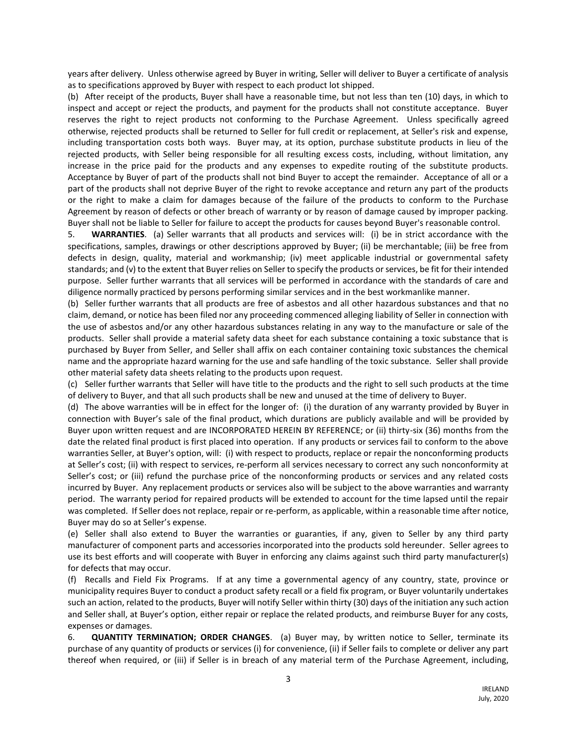years after delivery. Unless otherwise agreed by Buyer in writing, Seller will deliver to Buyer a certificate of analysis as to specifications approved by Buyer with respect to each product lot shipped.

(b) After receipt of the products, Buyer shall have a reasonable time, but not less than ten (10) days, in which to inspect and accept or reject the products, and payment for the products shall not constitute acceptance. Buyer reserves the right to reject products not conforming to the Purchase Agreement. Unless specifically agreed otherwise, rejected products shall be returned to Seller for full credit or replacement, at Seller's risk and expense, including transportation costs both ways. Buyer may, at its option, purchase substitute products in lieu of the rejected products, with Seller being responsible for all resulting excess costs, including, without limitation, any increase in the price paid for the products and any expenses to expedite routing of the substitute products. Acceptance by Buyer of part of the products shall not bind Buyer to accept the remainder. Acceptance of all or a part of the products shall not deprive Buyer of the right to revoke acceptance and return any part of the products or the right to make a claim for damages because of the failure of the products to conform to the Purchase Agreement by reason of defects or other breach of warranty or by reason of damage caused by improper packing. Buyer shall not be liable to Seller for failure to accept the products for causes beyond Buyer's reasonable control.

5. **WARRANTIES**. (a) Seller warrants that all products and services will: (i) be in strict accordance with the specifications, samples, drawings or other descriptions approved by Buyer; (ii) be merchantable; (iii) be free from defects in design, quality, material and workmanship; (iv) meet applicable industrial or governmental safety standards; and (v) to the extent that Buyer relies on Seller to specify the products or services, be fit for their intended purpose. Seller further warrants that all services will be performed in accordance with the standards of care and diligence normally practiced by persons performing similar services and in the best workmanlike manner.

(b) Seller further warrants that all products are free of asbestos and all other hazardous substances and that no claim, demand, or notice has been filed nor any proceeding commenced alleging liability of Seller in connection with the use of asbestos and/or any other hazardous substances relating in any way to the manufacture or sale of the products. Seller shall provide a material safety data sheet for each substance containing a toxic substance that is purchased by Buyer from Seller, and Seller shall affix on each container containing toxic substances the chemical name and the appropriate hazard warning for the use and safe handling of the toxic substance. Seller shall provide other material safety data sheets relating to the products upon request.

(c) Seller further warrants that Seller will have title to the products and the right to sell such products at the time of delivery to Buyer, and that all such products shall be new and unused at the time of delivery to Buyer.

(d) The above warranties will be in effect for the longer of: (i) the duration of any warranty provided by Buyer in connection with Buyer's sale of the final product, which durations are publicly available and will be provided by Buyer upon written request and are INCORPORATED HEREIN BY REFERENCE; or (ii) thirty-six (36) months from the date the related final product is first placed into operation. If any products or services fail to conform to the above warranties Seller, at Buyer's option, will: (i) with respect to products, replace or repair the nonconforming products at Seller's cost; (ii) with respect to services, re-perform all services necessary to correct any such nonconformity at Seller's cost; or (iii) refund the purchase price of the nonconforming products or services and any related costs incurred by Buyer. Any replacement products or services also will be subject to the above warranties and warranty period. The warranty period for repaired products will be extended to account for the time lapsed until the repair was completed. If Seller does not replace, repair or re-perform, as applicable, within a reasonable time after notice, Buyer may do so at Seller's expense.

(e) Seller shall also extend to Buyer the warranties or guaranties, if any, given to Seller by any third party manufacturer of component parts and accessories incorporated into the products sold hereunder. Seller agrees to use its best efforts and will cooperate with Buyer in enforcing any claims against such third party manufacturer(s) for defects that may occur.

(f) Recalls and Field Fix Programs. If at any time a governmental agency of any country, state, province or municipality requires Buyer to conduct a product safety recall or a field fix program, or Buyer voluntarily undertakes such an action, related to the products, Buyer will notify Seller within thirty (30) days of the initiation any such action and Seller shall, at Buyer's option, either repair or replace the related products, and reimburse Buyer for any costs, expenses or damages.

6. **QUANTITY TERMINATION; ORDER CHANGES**. (a) Buyer may, by written notice to Seller, terminate its purchase of any quantity of products or services (i) for convenience, (ii) if Seller fails to complete or deliver any part thereof when required, or (iii) if Seller is in breach of any material term of the Purchase Agreement, including,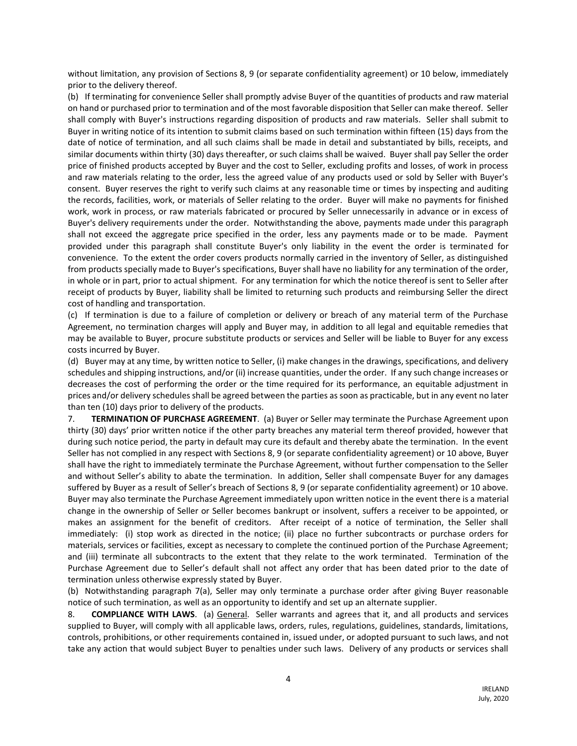without limitation, any provision of Sections 8, 9 (or separate confidentiality agreement) or 10 below, immediately prior to the delivery thereof.

(b) If terminating for convenience Seller shall promptly advise Buyer of the quantities of products and raw material on hand or purchased prior to termination and of the most favorable disposition that Seller can make thereof. Seller shall comply with Buyer's instructions regarding disposition of products and raw materials. Seller shall submit to Buyer in writing notice of its intention to submit claims based on such termination within fifteen (15) days from the date of notice of termination, and all such claims shall be made in detail and substantiated by bills, receipts, and similar documents within thirty (30) days thereafter, or such claims shall be waived. Buyer shall pay Seller the order price of finished products accepted by Buyer and the cost to Seller, excluding profits and losses, of work in process and raw materials relating to the order, less the agreed value of any products used or sold by Seller with Buyer's consent. Buyer reserves the right to verify such claims at any reasonable time or times by inspecting and auditing the records, facilities, work, or materials of Seller relating to the order. Buyer will make no payments for finished work, work in process, or raw materials fabricated or procured by Seller unnecessarily in advance or in excess of Buyer's delivery requirements under the order. Notwithstanding the above, payments made under this paragraph shall not exceed the aggregate price specified in the order, less any payments made or to be made. Payment provided under this paragraph shall constitute Buyer's only liability in the event the order is terminated for convenience. To the extent the order covers products normally carried in the inventory of Seller, as distinguished from products specially made to Buyer's specifications, Buyer shall have no liability for any termination of the order, in whole or in part, prior to actual shipment. For any termination for which the notice thereof is sent to Seller after receipt of products by Buyer, liability shall be limited to returning such products and reimbursing Seller the direct cost of handling and transportation.

(c) If termination is due to a failure of completion or delivery or breach of any material term of the Purchase Agreement, no termination charges will apply and Buyer may, in addition to all legal and equitable remedies that may be available to Buyer, procure substitute products or services and Seller will be liable to Buyer for any excess costs incurred by Buyer.

(d) Buyer may at any time, by written notice to Seller, (i) make changes in the drawings, specifications, and delivery schedules and shipping instructions, and/or (ii) increase quantities, under the order. If any such change increases or decreases the cost of performing the order or the time required for its performance, an equitable adjustment in prices and/or delivery schedules shall be agreed between the parties as soon as practicable, but in any event no later than ten (10) days prior to delivery of the products.

7. **TERMINATION OF PURCHASE AGREEMENT**. (a) Buyer or Seller may terminate the Purchase Agreement upon thirty (30) days' prior written notice if the other party breaches any material term thereof provided, however that during such notice period, the party in default may cure its default and thereby abate the termination. In the event Seller has not complied in any respect with Sections 8, 9 (or separate confidentiality agreement) or 10 above, Buyer shall have the right to immediately terminate the Purchase Agreement, without further compensation to the Seller and without Seller's ability to abate the termination. In addition, Seller shall compensate Buyer for any damages suffered by Buyer as a result of Seller's breach of Sections 8, 9 (or separate confidentiality agreement) or 10 above. Buyer may also terminate the Purchase Agreement immediately upon written notice in the event there is a material change in the ownership of Seller or Seller becomes bankrupt or insolvent, suffers a receiver to be appointed, or makes an assignment for the benefit of creditors. After receipt of a notice of termination, the Seller shall immediately: (i) stop work as directed in the notice; (ii) place no further subcontracts or purchase orders for materials, services or facilities, except as necessary to complete the continued portion of the Purchase Agreement; and (iii) terminate all subcontracts to the extent that they relate to the work terminated. Termination of the Purchase Agreement due to Seller's default shall not affect any order that has been dated prior to the date of termination unless otherwise expressly stated by Buyer.

(b) Notwithstanding paragraph 7(a), Seller may only terminate a purchase order after giving Buyer reasonable notice of such termination, as well as an opportunity to identify and set up an alternate supplier.

8. **COMPLIANCE WITH LAWS**. (a) General. Seller warrants and agrees that it, and all products and services supplied to Buyer, will comply with all applicable laws, orders, rules, regulations, guidelines, standards, limitations, controls, prohibitions, or other requirements contained in, issued under, or adopted pursuant to such laws, and not take any action that would subject Buyer to penalties under such laws. Delivery of any products or services shall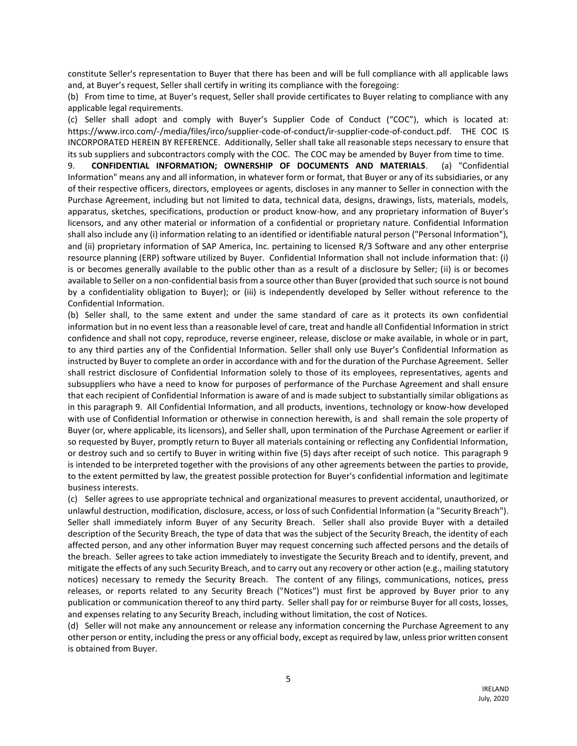constitute Seller's representation to Buyer that there has been and will be full compliance with all applicable laws and, at Buyer's request, Seller shall certify in writing its compliance with the foregoing:

(b) From time to time, at Buyer's request, Seller shall provide certificates to Buyer relating to compliance with any applicable legal requirements.

(c) Seller shall adopt and comply with Buyer's Supplier Code of Conduct ("COC"), which is located at: https://www.irco.com/-/media/files/irco/supplier-code-of-conduct/ir-supplier-code-of-conduct.pdf. THE COC IS INCORPORATED HEREIN BY REFERENCE. Additionally, Seller shall take all reasonable steps necessary to ensure that its sub suppliers and subcontractors comply with the COC. The COC may be amended by Buyer from time to time.

9. **CONFIDENTIAL INFORMATION; OWNERSHIP OF DOCUMENTS AND MATERIALS**. (a) "Confidential Information" means any and all information, in whatever form or format, that Buyer or any of its subsidiaries, or any of their respective officers, directors, employees or agents, discloses in any manner to Seller in connection with the Purchase Agreement, including but not limited to data, technical data, designs, drawings, lists, materials, models, apparatus, sketches, specifications, production or product know-how, and any proprietary information of Buyer's licensors, and any other material or information of a confidential or proprietary nature. Confidential Information shall also include any (i) information relating to an identified or identifiable natural person ("Personal Information"), and (ii) proprietary information of SAP America, Inc. pertaining to licensed R/3 Software and any other enterprise resource planning (ERP) software utilized by Buyer. Confidential Information shall not include information that: (i) is or becomes generally available to the public other than as a result of a disclosure by Seller; (ii) is or becomes available to Seller on a non-confidential basis from a source other than Buyer (provided that such source is not bound by a confidentiality obligation to Buyer); or (iii) is independently developed by Seller without reference to the Confidential Information.

(b) Seller shall, to the same extent and under the same standard of care as it protects its own confidential information but in no event less than a reasonable level of care, treat and handle all Confidential Information in strict confidence and shall not copy, reproduce, reverse engineer, release, disclose or make available, in whole or in part, to any third parties any of the Confidential Information. Seller shall only use Buyer's Confidential Information as instructed by Buyer to complete an order in accordance with and for the duration of the Purchase Agreement. Seller shall restrict disclosure of Confidential Information solely to those of its employees, representatives, agents and subsuppliers who have a need to know for purposes of performance of the Purchase Agreement and shall ensure that each recipient of Confidential Information is aware of and is made subject to substantially similar obligations as in this paragraph 9. All Confidential Information, and all products, inventions, technology or know-how developed with use of Confidential Information or otherwise in connection herewith, is and shall remain the sole property of Buyer (or, where applicable, its licensors), and Seller shall, upon termination of the Purchase Agreement or earlier if so requested by Buyer, promptly return to Buyer all materials containing or reflecting any Confidential Information, or destroy such and so certify to Buyer in writing within five (5) days after receipt of such notice. This paragraph 9 is intended to be interpreted together with the provisions of any other agreements between the parties to provide, to the extent permitted by law, the greatest possible protection for Buyer's confidential information and legitimate business interests.

(c) Seller agrees to use appropriate technical and organizational measures to prevent accidental, unauthorized, or unlawful destruction, modification, disclosure, access, or loss of such Confidential Information (a "Security Breach"). Seller shall immediately inform Buyer of any Security Breach. Seller shall also provide Buyer with a detailed description of the Security Breach, the type of data that was the subject of the Security Breach, the identity of each affected person, and any other information Buyer may request concerning such affected persons and the details of the breach. Seller agrees to take action immediately to investigate the Security Breach and to identify, prevent, and mitigate the effects of any such Security Breach, and to carry out any recovery or other action (e.g., mailing statutory notices) necessary to remedy the Security Breach. The content of any filings, communications, notices, press releases, or reports related to any Security Breach ("Notices") must first be approved by Buyer prior to any publication or communication thereof to any third party. Seller shall pay for or reimburse Buyer for all costs, losses, and expenses relating to any Security Breach, including without limitation, the cost of Notices.

(d) Seller will not make any announcement or release any information concerning the Purchase Agreement to any other person or entity, including the press or any official body, except as required by law, unless prior written consent is obtained from Buyer.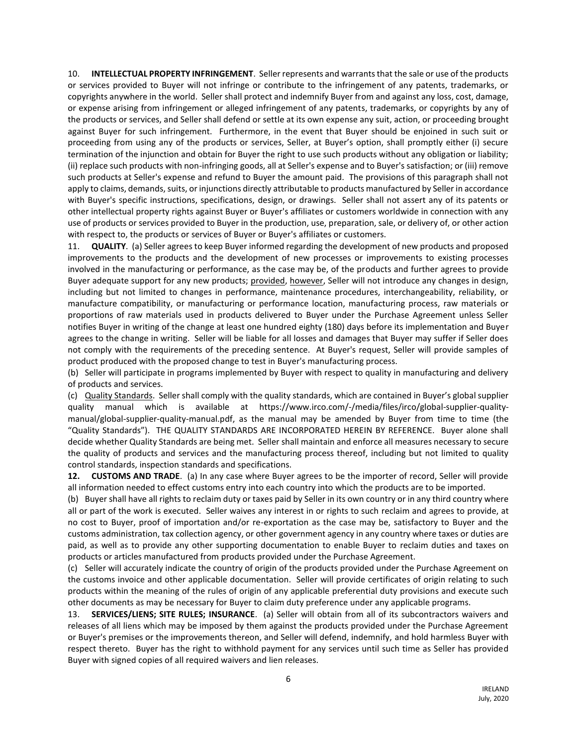10. **INTELLECTUAL PROPERTY INFRINGEMENT**. Seller represents and warrants that the sale or use of the products or services provided to Buyer will not infringe or contribute to the infringement of any patents, trademarks, or copyrights anywhere in the world. Seller shall protect and indemnify Buyer from and against any loss, cost, damage, or expense arising from infringement or alleged infringement of any patents, trademarks, or copyrights by any of the products or services, and Seller shall defend or settle at its own expense any suit, action, or proceeding brought against Buyer for such infringement. Furthermore, in the event that Buyer should be enjoined in such suit or proceeding from using any of the products or services, Seller, at Buyer's option, shall promptly either (i) secure termination of the injunction and obtain for Buyer the right to use such products without any obligation or liability; (ii) replace such products with non-infringing goods, all at Seller's expense and to Buyer's satisfaction; or (iii) remove such products at Seller's expense and refund to Buyer the amount paid. The provisions of this paragraph shall not apply to claims, demands, suits, or injunctions directly attributable to products manufactured by Seller in accordance with Buyer's specific instructions, specifications, design, or drawings. Seller shall not assert any of its patents or other intellectual property rights against Buyer or Buyer's affiliates or customers worldwide in connection with any use of products or services provided to Buyer in the production, use, preparation, sale, or delivery of, or other action with respect to, the products or services of Buyer or Buyer's affiliates or customers.

11. **QUALITY**. (a) Seller agrees to keep Buyer informed regarding the development of new products and proposed improvements to the products and the development of new processes or improvements to existing processes involved in the manufacturing or performance, as the case may be, of the products and further agrees to provide Buyer adequate support for any new products; provided, however, Seller will not introduce any changes in design, including but not limited to changes in performance, maintenance procedures, interchangeability, reliability, or manufacture compatibility, or manufacturing or performance location, manufacturing process, raw materials or proportions of raw materials used in products delivered to Buyer under the Purchase Agreement unless Seller notifies Buyer in writing of the change at least one hundred eighty (180) days before its implementation and Buyer agrees to the change in writing. Seller will be liable for all losses and damages that Buyer may suffer if Seller does not comply with the requirements of the preceding sentence. At Buyer's request, Seller will provide samples of product produced with the proposed change to test in Buyer's manufacturing process.

(b) Seller will participate in programs implemented by Buyer with respect to quality in manufacturing and delivery of products and services.

(c) Quality Standards. Seller shall comply with the quality standards, which are contained in Buyer's global supplier quality manual which is available at https://www.irco.com/-/media/files/irco/global-supplier-qualitymanual/global-supplier-quality-manual.pdf, as the manual may be amended by Buyer from time to time (the "Quality Standards"). THE QUALITY STANDARDS ARE INCORPORATED HEREIN BY REFERENCE. Buyer alone shall decide whether Quality Standards are being met. Seller shall maintain and enforce all measures necessary to secure the quality of products and services and the manufacturing process thereof, including but not limited to quality control standards, inspection standards and specifications.

**12. CUSTOMS AND TRADE**. (a) In any case where Buyer agrees to be the importer of record, Seller will provide all information needed to effect customs entry into each country into which the products are to be imported.

(b) Buyer shall have all rights to reclaim duty or taxes paid by Seller in its own country or in any third country where all or part of the work is executed. Seller waives any interest in or rights to such reclaim and agrees to provide, at no cost to Buyer, proof of importation and/or re-exportation as the case may be, satisfactory to Buyer and the customs administration, tax collection agency, or other government agency in any country where taxes or duties are paid, as well as to provide any other supporting documentation to enable Buyer to reclaim duties and taxes on products or articles manufactured from products provided under the Purchase Agreement.

(c) Seller will accurately indicate the country of origin of the products provided under the Purchase Agreement on the customs invoice and other applicable documentation. Seller will provide certificates of origin relating to such products within the meaning of the rules of origin of any applicable preferential duty provisions and execute such other documents as may be necessary for Buyer to claim duty preference under any applicable programs.

13. **SERVICES/LIENS; SITE RULES; INSURANCE**. (a) Seller will obtain from all of its subcontractors waivers and releases of all liens which may be imposed by them against the products provided under the Purchase Agreement or Buyer's premises or the improvements thereon, and Seller will defend, indemnify, and hold harmless Buyer with respect thereto. Buyer has the right to withhold payment for any services until such time as Seller has provided Buyer with signed copies of all required waivers and lien releases.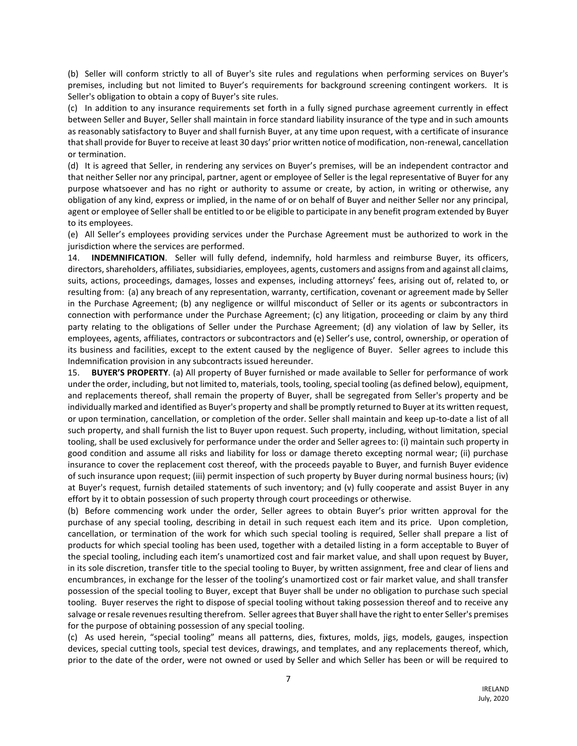(b) Seller will conform strictly to all of Buyer's site rules and regulations when performing services on Buyer's premises, including but not limited to Buyer's requirements for background screening contingent workers. It is Seller's obligation to obtain a copy of Buyer's site rules.

(c) In addition to any insurance requirements set forth in a fully signed purchase agreement currently in effect between Seller and Buyer, Seller shall maintain in force standard liability insurance of the type and in such amounts as reasonably satisfactory to Buyer and shall furnish Buyer, at any time upon request, with a certificate of insurance that shall provide for Buyer to receive at least 30 days' prior written notice of modification, non-renewal, cancellation or termination.

(d) It is agreed that Seller, in rendering any services on Buyer's premises, will be an independent contractor and that neither Seller nor any principal, partner, agent or employee of Seller is the legal representative of Buyer for any purpose whatsoever and has no right or authority to assume or create, by action, in writing or otherwise, any obligation of any kind, express or implied, in the name of or on behalf of Buyer and neither Seller nor any principal, agent or employee of Seller shall be entitled to or be eligible to participate in any benefit program extended by Buyer to its employees.

(e) All Seller's employees providing services under the Purchase Agreement must be authorized to work in the jurisdiction where the services are performed.

14. **INDEMNIFICATION**. Seller will fully defend, indemnify, hold harmless and reimburse Buyer, its officers, directors, shareholders, affiliates, subsidiaries, employees, agents, customers and assigns from and against all claims, suits, actions, proceedings, damages, losses and expenses, including attorneys' fees, arising out of, related to, or resulting from: (a) any breach of any representation, warranty, certification, covenant or agreement made by Seller in the Purchase Agreement; (b) any negligence or willful misconduct of Seller or its agents or subcontractors in connection with performance under the Purchase Agreement; (c) any litigation, proceeding or claim by any third party relating to the obligations of Seller under the Purchase Agreement; (d) any violation of law by Seller, its employees, agents, affiliates, contractors or subcontractors and (e) Seller's use, control, ownership, or operation of its business and facilities, except to the extent caused by the negligence of Buyer. Seller agrees to include this Indemnification provision in any subcontracts issued hereunder.

15. **BUYER'S PROPERTY**. (a) All property of Buyer furnished or made available to Seller for performance of work under the order, including, but not limited to, materials, tools, tooling, special tooling (as defined below), equipment, and replacements thereof, shall remain the property of Buyer, shall be segregated from Seller's property and be individually marked and identified as Buyer's property and shall be promptly returned to Buyer at its written request, or upon termination, cancellation, or completion of the order. Seller shall maintain and keep up-to-date a list of all such property, and shall furnish the list to Buyer upon request. Such property, including, without limitation, special tooling, shall be used exclusively for performance under the order and Seller agrees to: (i) maintain such property in good condition and assume all risks and liability for loss or damage thereto excepting normal wear; (ii) purchase insurance to cover the replacement cost thereof, with the proceeds payable to Buyer, and furnish Buyer evidence of such insurance upon request; (iii) permit inspection of such property by Buyer during normal business hours; (iv) at Buyer's request, furnish detailed statements of such inventory; and (v) fully cooperate and assist Buyer in any effort by it to obtain possession of such property through court proceedings or otherwise.

(b) Before commencing work under the order, Seller agrees to obtain Buyer's prior written approval for the purchase of any special tooling, describing in detail in such request each item and its price. Upon completion, cancellation, or termination of the work for which such special tooling is required, Seller shall prepare a list of products for which special tooling has been used, together with a detailed listing in a form acceptable to Buyer of the special tooling, including each item's unamortized cost and fair market value, and shall upon request by Buyer, in its sole discretion, transfer title to the special tooling to Buyer, by written assignment, free and clear of liens and encumbrances, in exchange for the lesser of the tooling's unamortized cost or fair market value, and shall transfer possession of the special tooling to Buyer, except that Buyer shall be under no obligation to purchase such special tooling. Buyer reserves the right to dispose of special tooling without taking possession thereof and to receive any salvage or resale revenues resulting therefrom. Seller agrees that Buyer shall have the right to enter Seller's premises for the purpose of obtaining possession of any special tooling.

(c) As used herein, "special tooling" means all patterns, dies, fixtures, molds, jigs, models, gauges, inspection devices, special cutting tools, special test devices, drawings, and templates, and any replacements thereof, which, prior to the date of the order, were not owned or used by Seller and which Seller has been or will be required to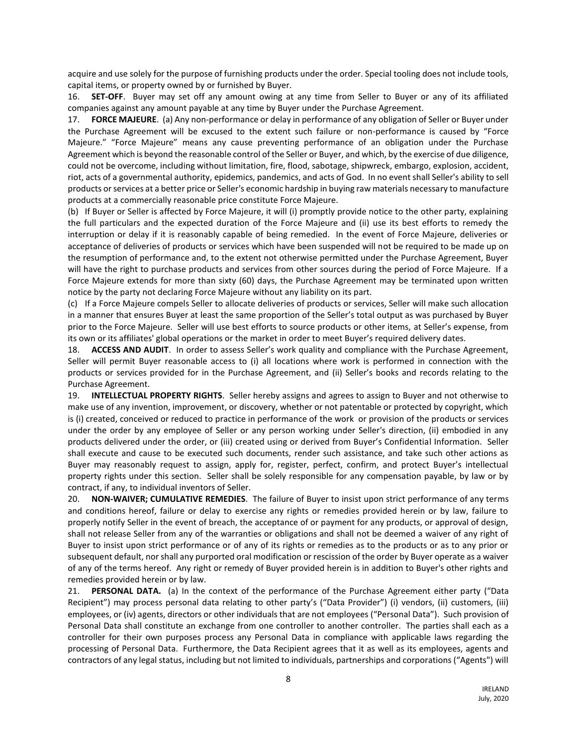acquire and use solely for the purpose of furnishing products under the order. Special tooling does not include tools, capital items, or property owned by or furnished by Buyer.

16. **SET-OFF**. Buyer may set off any amount owing at any time from Seller to Buyer or any of its affiliated companies against any amount payable at any time by Buyer under the Purchase Agreement.

17. **FORCE MAJEURE**. (a) Any non-performance or delay in performance of any obligation of Seller or Buyer under the Purchase Agreement will be excused to the extent such failure or non-performance is caused by "Force Majeure." "Force Majeure" means any cause preventing performance of an obligation under the Purchase Agreement which is beyond the reasonable control of the Seller or Buyer, and which, by the exercise of due diligence, could not be overcome, including without limitation, fire, flood, sabotage, shipwreck, embargo, explosion, accident, riot, acts of a governmental authority, epidemics, pandemics, and acts of God. In no event shall Seller's ability to sell products or services at a better price or Seller's economic hardship in buying raw materials necessary to manufacture products at a commercially reasonable price constitute Force Majeure.

(b) If Buyer or Seller is affected by Force Majeure, it will (i) promptly provide notice to the other party, explaining the full particulars and the expected duration of the Force Majeure and (ii) use its best efforts to remedy the interruption or delay if it is reasonably capable of being remedied. In the event of Force Majeure, deliveries or acceptance of deliveries of products or services which have been suspended will not be required to be made up on the resumption of performance and, to the extent not otherwise permitted under the Purchase Agreement, Buyer will have the right to purchase products and services from other sources during the period of Force Majeure. If a Force Majeure extends for more than sixty (60) days, the Purchase Agreement may be terminated upon written notice by the party not declaring Force Majeure without any liability on its part.

(c) If a Force Majeure compels Seller to allocate deliveries of products or services, Seller will make such allocation in a manner that ensures Buyer at least the same proportion of the Seller's total output as was purchased by Buyer prior to the Force Majeure. Seller will use best efforts to source products or other items, at Seller's expense, from its own or its affiliates' global operations or the market in order to meet Buyer's required delivery dates.

18. **ACCESS AND AUDIT**. In order to assess Seller's work quality and compliance with the Purchase Agreement, Seller will permit Buyer reasonable access to (i) all locations where work is performed in connection with the products or services provided for in the Purchase Agreement, and (ii) Seller's books and records relating to the Purchase Agreement.

19. **INTELLECTUAL PROPERTY RIGHTS**. Seller hereby assigns and agrees to assign to Buyer and not otherwise to make use of any invention, improvement, or discovery, whether or not patentable or protected by copyright, which is (i) created, conceived or reduced to practice in performance of the work or provision of the products or services under the order by any employee of Seller or any person working under Seller's direction, (ii) embodied in any products delivered under the order, or (iii) created using or derived from Buyer's Confidential Information. Seller shall execute and cause to be executed such documents, render such assistance, and take such other actions as Buyer may reasonably request to assign, apply for, register, perfect, confirm, and protect Buyer's intellectual property rights under this section. Seller shall be solely responsible for any compensation payable, by law or by contract, if any, to individual inventors of Seller.

20. **NON-WAIVER; CUMULATIVE REMEDIES**. The failure of Buyer to insist upon strict performance of any terms and conditions hereof, failure or delay to exercise any rights or remedies provided herein or by law, failure to properly notify Seller in the event of breach, the acceptance of or payment for any products, or approval of design, shall not release Seller from any of the warranties or obligations and shall not be deemed a waiver of any right of Buyer to insist upon strict performance or of any of its rights or remedies as to the products or as to any prior or subsequent default, nor shall any purported oral modification or rescission of the order by Buyer operate as a waiver of any of the terms hereof. Any right or remedy of Buyer provided herein is in addition to Buyer's other rights and remedies provided herein or by law.

21. **PERSONAL DATA.** (a) In the context of the performance of the Purchase Agreement either party ("Data Recipient") may process personal data relating to other party's ("Data Provider") (i) vendors, (ii) customers, (iii) employees, or (iv) agents, directors or other individuals that are not employees ("Personal Data"). Such provision of Personal Data shall constitute an exchange from one controller to another controller. The parties shall each as a controller for their own purposes process any Personal Data in compliance with applicable laws regarding the processing of Personal Data. Furthermore, the Data Recipient agrees that it as well as its employees, agents and contractors of any legal status, including but not limited to individuals, partnerships and corporations ("Agents") will